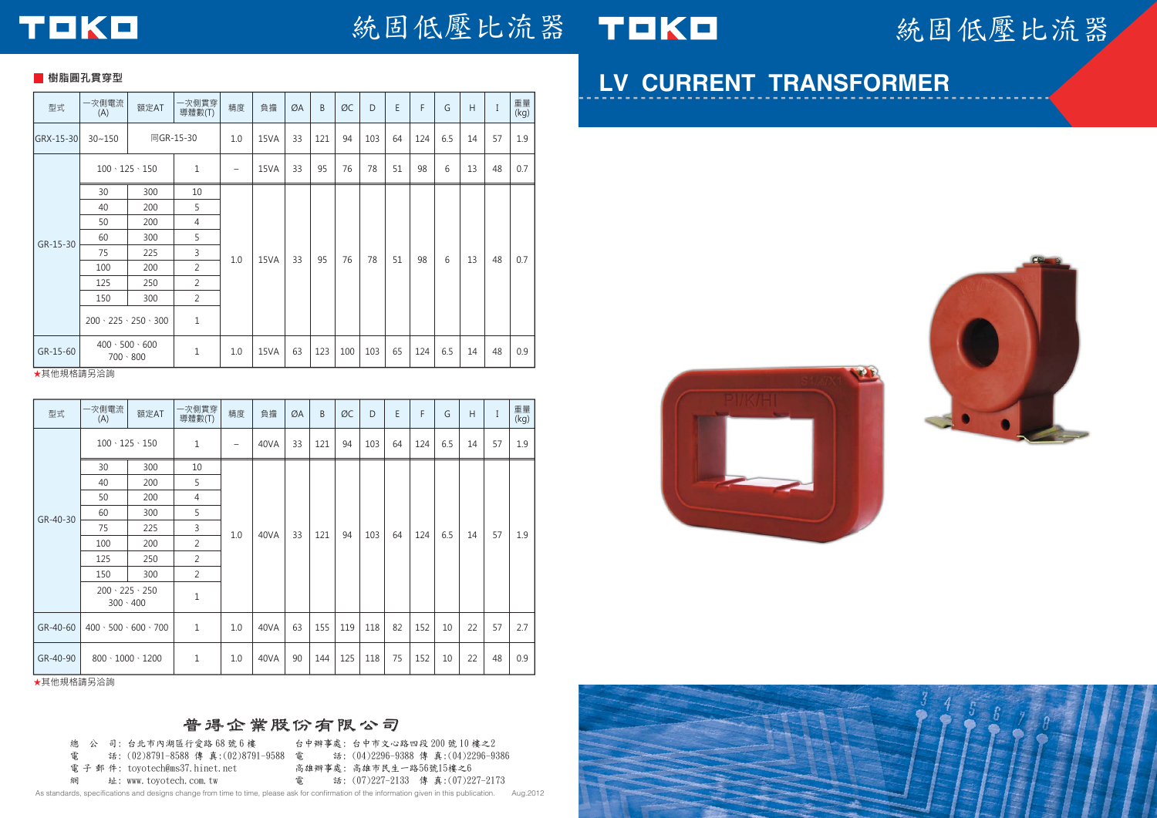

### 統固低壓比流器

### **LV CURRENT TRANSFORMER**





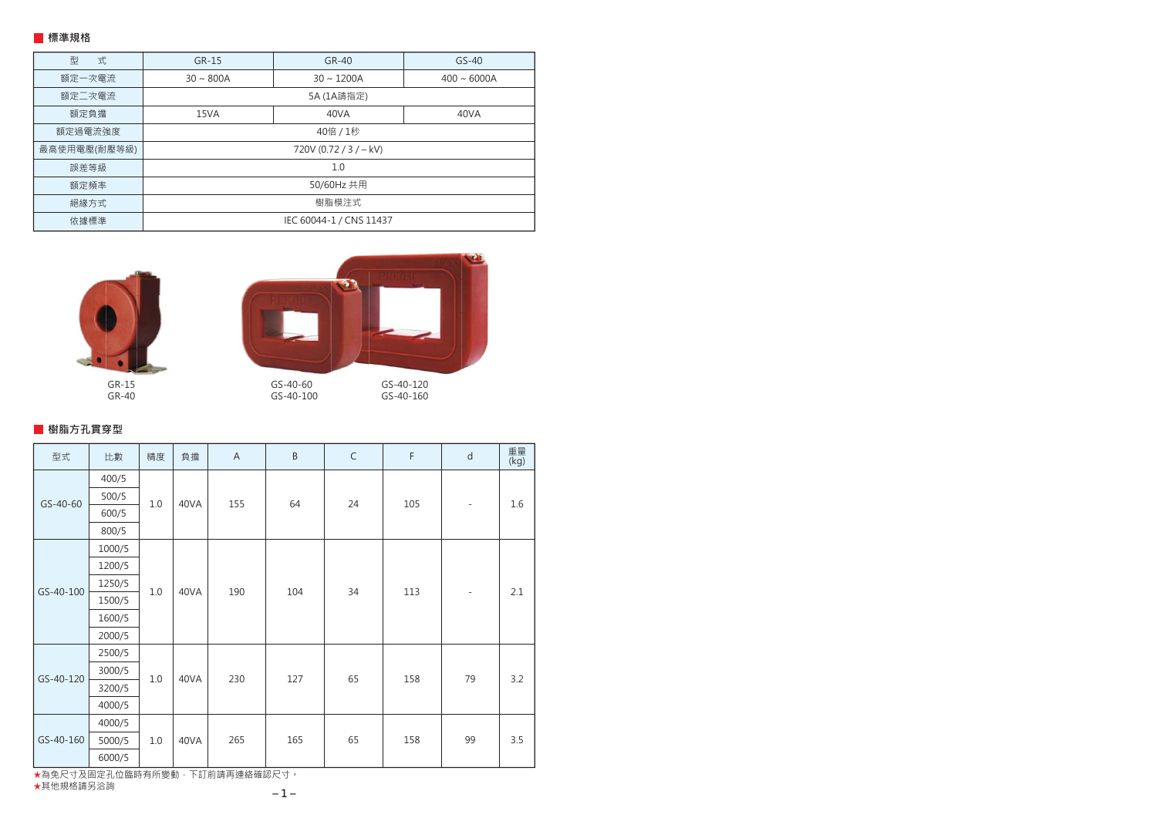#### **標準規格**

| 式<br>型       | GR-15                   | $GR-40$         | $GS-40$          |  |  |  |  |  |  |  |  |
|--------------|-------------------------|-----------------|------------------|--|--|--|--|--|--|--|--|
| 額定一次電流       | $30 \sim 800A$          | $30 \sim 1200A$ | $400 \sim 6000A$ |  |  |  |  |  |  |  |  |
| 額定二次電流       | 5A (1A請指定)              |                 |                  |  |  |  |  |  |  |  |  |
| 額定負擔         | 15VA                    | 40VA            | 40VA             |  |  |  |  |  |  |  |  |
| 額定過電流強度      |                         | 40倍 / 1秒        |                  |  |  |  |  |  |  |  |  |
| 最高使用電壓(耐壓等級) | 720V (0.72 / 3 / - kV)  |                 |                  |  |  |  |  |  |  |  |  |
| 誤差等級         | 1.0                     |                 |                  |  |  |  |  |  |  |  |  |
| 額定頻率         |                         | 50/60Hz 共用      |                  |  |  |  |  |  |  |  |  |
| 絕緣方式         |                         | 樹脂模注式           |                  |  |  |  |  |  |  |  |  |
| 依據標準         | IEC 60044-1 / CNS 11437 |                 |                  |  |  |  |  |  |  |  |  |



GR-15 GR-40



GS-40-60 GS-40-100

GS-40-120 GS-40-160

**樹脂方孔貫穿型**

| 型式        | 比數     | 精度      | 負擔   | $\overline{A}$ | $\sf B$ | $\mathsf C$ | $\mathsf F$ | $\mathsf{d}$             | 重量<br>(kg) |
|-----------|--------|---------|------|----------------|---------|-------------|-------------|--------------------------|------------|
| GS-40-60  | 400/5  |         | 40VA | 155            |         |             |             | $\overline{\phantom{a}}$ | 1.6        |
|           | 500/5  | $1.0$   |      |                | 64      | 24          | 105         |                          |            |
|           | 600/5  |         |      |                |         |             |             |                          |            |
|           | 800/5  |         |      |                |         |             |             |                          |            |
| GS-40-100 | 1000/5 | $1.0$   | 40VA | 190            | 104     | 34          | 113         | $\overline{\phantom{a}}$ |            |
|           | 1200/5 |         |      |                |         |             |             |                          | 2.1        |
|           | 1250/5 |         |      |                |         |             |             |                          |            |
|           | 1500/5 |         |      |                |         |             |             |                          |            |
|           | 1600/5 |         |      |                |         |             |             |                          |            |
|           | 2000/5 |         |      |                |         |             |             |                          |            |
|           | 2500/5 |         | 40VA | 230            |         |             |             | 79                       | 3.2        |
| GS-40-120 | 3000/5 | 1.0     |      |                | 127     | 65          | 158         |                          |            |
|           | 3200/5 |         |      |                |         |             |             |                          |            |
|           | 4000/5 |         |      |                |         |             |             |                          |            |
| GS-40-160 | 4000/5 | $1.0\,$ | 40VA | 265            |         |             | 158         | 99                       |            |
|           | 5000/5 |         |      |                | 165     | 65          |             |                          | 3.5        |
|           | 6000/5 |         |      |                |         |             |             |                          |            |

★為免尺寸及固定孔位臨時有所變動,下訂前請再連絡確認尺寸。<br>★其他規格請另洽詢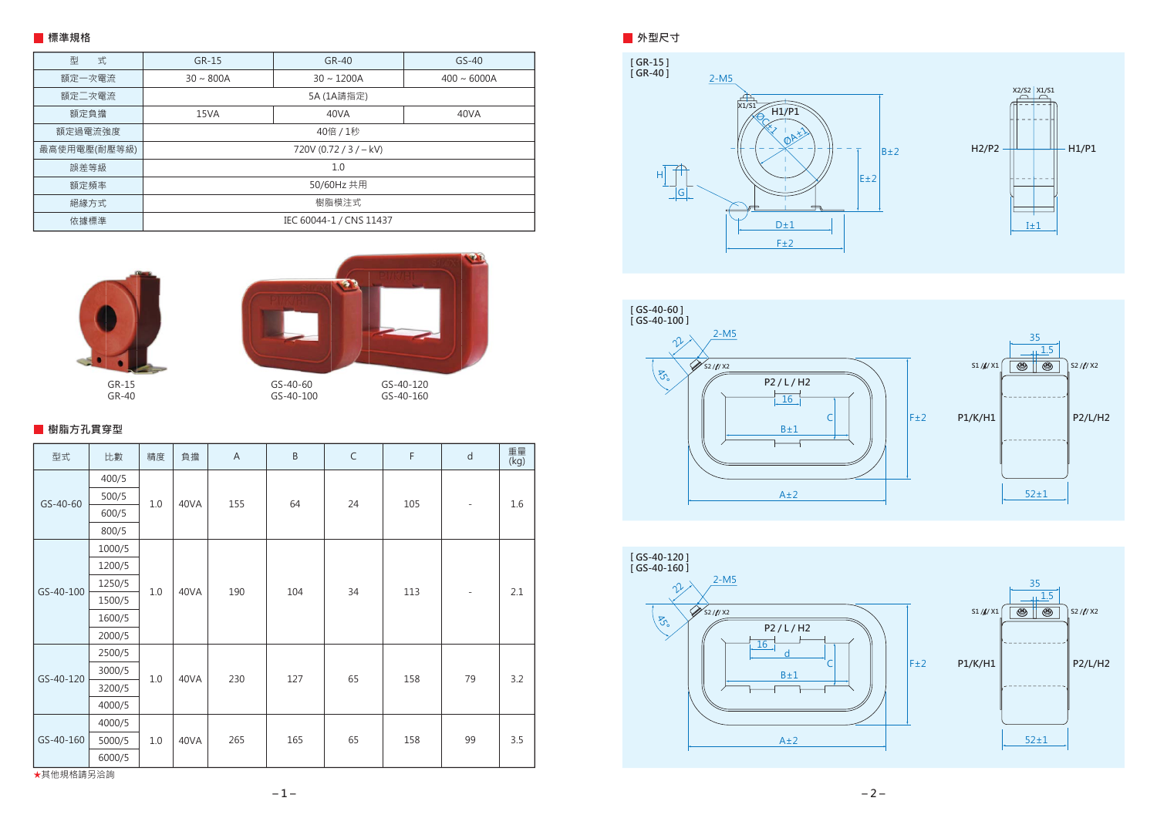#### **外型尺寸**